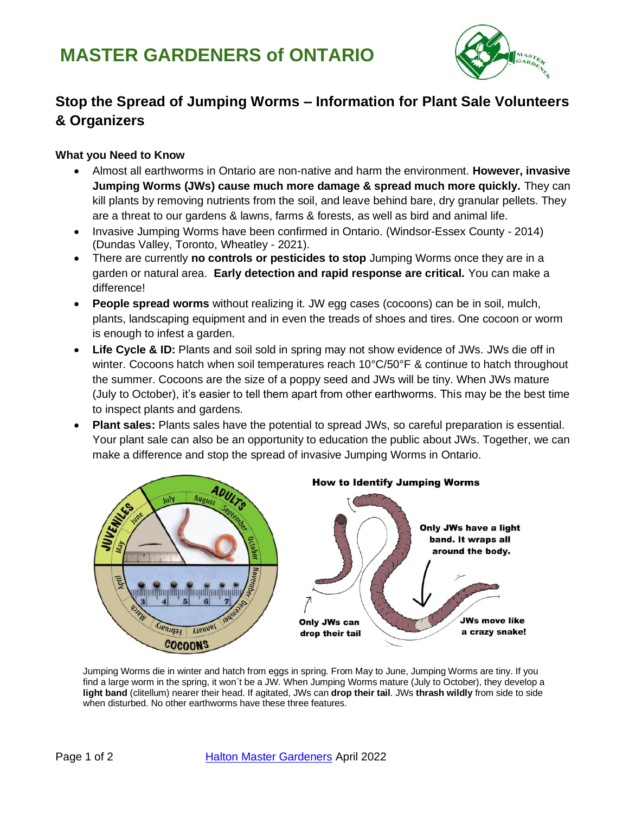

# **Stop the Spread of Jumping Worms – Information for Plant Sale Volunteers & Organizers**

## **What you Need to Know**

- Almost all earthworms in Ontario are non-native and harm the environment. **However, invasive Jumping Worms (JWs) cause much more damage & spread much more quickly.** They can kill plants by removing nutrients from the soil, and leave behind bare, dry granular pellets. They are a threat to our gardens & lawns, farms & forests, as well as bird and animal life.
- Invasive Jumping Worms have been confirmed in Ontario. (Windsor-Essex County 2014) (Dundas Valley, Toronto, Wheatley - 2021).
- There are currently **no controls or pesticides to stop** Jumping Worms once they are in a garden or natural area. **Early detection and rapid response are critical.** You can make a difference!
- **People spread worms** without realizing it. JW egg cases (cocoons) can be in soil, mulch, plants, landscaping equipment and in even the treads of shoes and tires. One cocoon or worm is enough to infest a garden.
- **Life Cycle & ID:** Plants and soil sold in spring may not show evidence of JWs. JWs die off in winter. Cocoons hatch when soil temperatures reach 10°C/50°F & continue to hatch throughout the summer. Cocoons are the size of a poppy seed and JWs will be tiny. When JWs mature (July to October), it's easier to tell them apart from other earthworms. This may be the best time to inspect plants and gardens.
- **Plant sales:** Plants sales have the potential to spread JWs, so careful preparation is essential. Your plant sale can also be an opportunity to education the public about JWs. Together, we can make a difference and stop the spread of invasive Jumping Worms in Ontario.



Jumping Worms die in winter and hatch from eggs in spring. From May to June, Jumping Worms are tiny. If you find a large worm in the spring, it won`t be a JW. When Jumping Worms mature (July to October), they develop a **light band** (clitellum) nearer their head. If agitated, JWs can **drop their tail**. JWs **thrash wildly** from side to side when disturbed. No other earthworms have these three features.